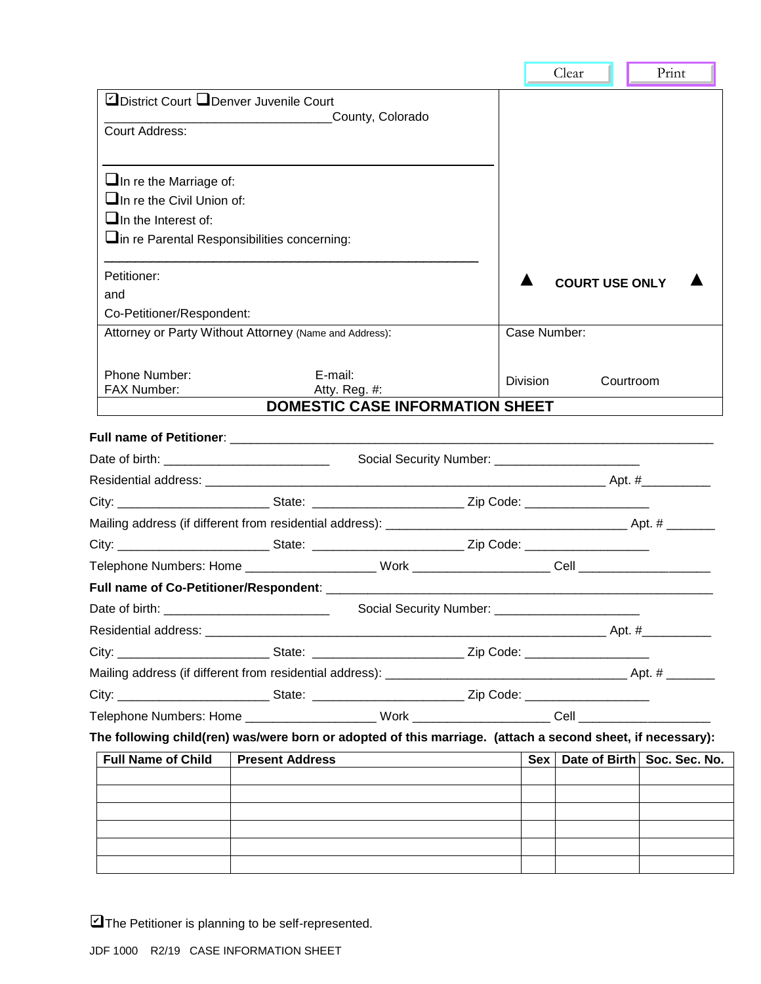|                                                                                                                |                                                                                                           |                                                   |  |                       | Clear                 | Print                               |  |
|----------------------------------------------------------------------------------------------------------------|-----------------------------------------------------------------------------------------------------------|---------------------------------------------------|--|-----------------------|-----------------------|-------------------------------------|--|
| District Court Q Denver Juvenile Court                                                                         |                                                                                                           |                                                   |  |                       |                       |                                     |  |
| County, Colorado<br>Court Address:                                                                             |                                                                                                           |                                                   |  |                       |                       |                                     |  |
|                                                                                                                |                                                                                                           |                                                   |  |                       |                       |                                     |  |
| $\Box$ In re the Marriage of:                                                                                  |                                                                                                           |                                                   |  |                       |                       |                                     |  |
| $\Box$ In re the Civil Union of:                                                                               |                                                                                                           |                                                   |  |                       |                       |                                     |  |
| $\Box$ In the Interest of:                                                                                     |                                                                                                           |                                                   |  |                       |                       |                                     |  |
|                                                                                                                | In re Parental Responsibilities concerning:                                                               |                                                   |  |                       |                       |                                     |  |
| Petitioner:                                                                                                    |                                                                                                           |                                                   |  |                       | <b>COURT USE ONLY</b> |                                     |  |
| and                                                                                                            |                                                                                                           |                                                   |  |                       |                       |                                     |  |
| Co-Petitioner/Respondent:                                                                                      |                                                                                                           |                                                   |  |                       |                       |                                     |  |
| Attorney or Party Without Attorney (Name and Address):                                                         |                                                                                                           |                                                   |  | Case Number:          |                       |                                     |  |
| Phone Number:                                                                                                  | E-mail:                                                                                                   |                                                   |  |                       |                       |                                     |  |
| FAX Number:<br>Atty. Reg. #:                                                                                   |                                                                                                           |                                                   |  | Division<br>Courtroom |                       |                                     |  |
|                                                                                                                |                                                                                                           | <b>DOMESTIC CASE INFORMATION SHEET</b>            |  |                       |                       |                                     |  |
|                                                                                                                |                                                                                                           |                                                   |  |                       |                       |                                     |  |
| Date of birth: __________________________________                                                              |                                                                                                           | Social Security Number: _________________________ |  |                       |                       |                                     |  |
|                                                                                                                |                                                                                                           |                                                   |  |                       |                       |                                     |  |
| City: _________________________________State: __________________________________Zip Code: ____________________ |                                                                                                           |                                                   |  |                       |                       |                                     |  |
|                                                                                                                |                                                                                                           |                                                   |  |                       |                       |                                     |  |
| City: _________________________________State: _______________________________Zip Code: _______________________ |                                                                                                           |                                                   |  |                       |                       |                                     |  |
|                                                                                                                |                                                                                                           |                                                   |  |                       |                       |                                     |  |
|                                                                                                                |                                                                                                           |                                                   |  |                       |                       |                                     |  |
|                                                                                                                |                                                                                                           |                                                   |  |                       |                       |                                     |  |
|                                                                                                                |                                                                                                           |                                                   |  |                       |                       |                                     |  |
|                                                                                                                | City: ______________________________State: _____________________________Zip Code: _______________________ |                                                   |  |                       |                       |                                     |  |
|                                                                                                                |                                                                                                           |                                                   |  |                       |                       |                                     |  |
| City: ________________________________State: ______________________________Zip Code: ____________________      |                                                                                                           |                                                   |  |                       |                       |                                     |  |
|                                                                                                                |                                                                                                           |                                                   |  |                       |                       |                                     |  |
| The following child(ren) was/were born or adopted of this marriage. (attach a second sheet, if necessary):     |                                                                                                           |                                                   |  |                       |                       |                                     |  |
| <b>Full Name of Child</b>                                                                                      | <b>Present Address</b>                                                                                    |                                                   |  |                       |                       | Sex   Date of Birth   Soc. Sec. No. |  |
|                                                                                                                |                                                                                                           |                                                   |  |                       |                       |                                     |  |
|                                                                                                                |                                                                                                           |                                                   |  |                       |                       |                                     |  |
|                                                                                                                |                                                                                                           |                                                   |  |                       |                       |                                     |  |
|                                                                                                                |                                                                                                           |                                                   |  |                       |                       |                                     |  |
|                                                                                                                |                                                                                                           |                                                   |  |                       |                       |                                     |  |

r

**The Petitioner is planning to be self-represented.**